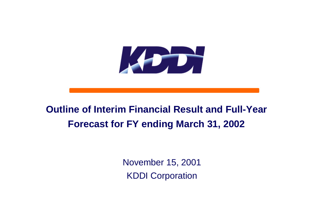

# **Outline of Interim Financial Result and Full-Year Forecast for FY ending March 31, 2002**

November 15, 2001 KDDI Corporation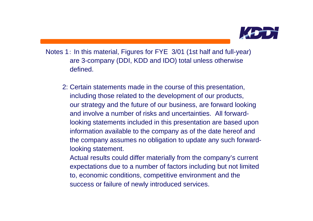

- Notes 1: In this material, Figures for FYE 3/01 (1st half and full-year) are 3-company (DDI, KDD and IDO) total unless otherwise defined.
	- 2: Certain statements made in the course of this presentation, including those related to the development of our products, our strategy and the future of our business, are forward looking and involve a number of risks and uncertainties. All forward looking statements included in this presentation are based upon information available to the company as of the date hereof and the company assumes no obligation to update any such forward looking statement.
		- Actual results could differ materially from the company's current expectations due to a number of factors including but not limited to, economic conditions, competitive environment and the success or failure of newly introduced services.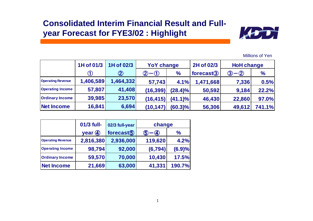### **Consolidated Interim Financial Result and Fullyear Forecast for FYE3/02 : Highlight**



Millions of Yen

|                          | 1H of 01/3 | $\vert$ 1H of 02/3 | <b>YoY change</b>                                                                                                                                                                                                                                                                                                                                                                                                                                          |            | 2H of 02/3     | <b>HoH change</b> |        |
|--------------------------|------------|--------------------|------------------------------------------------------------------------------------------------------------------------------------------------------------------------------------------------------------------------------------------------------------------------------------------------------------------------------------------------------------------------------------------------------------------------------------------------------------|------------|----------------|-------------------|--------|
|                          |            | $\circledZ$        | $\bigcirc\!\!\!\!-\!\!\:\circ\!\!\!\!-\!\!\:\circ\!\!\!\!-\!\!\:\circ\!\!\!\!-\!\!\:\circ\!\!\!\!-\!\!\:\circ\!\!\!\!-\!\!\:\circ\!\!\!\!-\!\!\:\circ\!\!\!\!-\!\!\:\circ\!\!\!\!-\!\!\:\circ\!\!\!\!-\!\!\:\circ\!\!\!\!-\!\!\:\circ\!\!\!\!-\!\!\:\circ\!\!\!\!-\!\!\:\circ\!\!\!\!-\!\!\:\circ\!\!\!\!-\!\!\:\circ\!\!\!\!-\!\!\:\circ\!\!\!\!-\!\!\:\circ\!\!\!\!-\!\!\:\circ\!\!\!\!-\!\!\:\circ\!\!\!\!-\!\!\:\circ\!\!\!\!-\!\!\:\circ\!\!\!\!-\!\$ | $\%$       | forecast $(3)$ | -②<br>3           | $\%$   |
| <b>Operating Revenue</b> | 1,406,589  | 1,464,332          | 57,743                                                                                                                                                                                                                                                                                                                                                                                                                                                     | 4.1%       | 1,471,668      | 7,336             | 0.5%   |
| <b>Operating Income</b>  | 57,807     | 41,408             | (16, 399)                                                                                                                                                                                                                                                                                                                                                                                                                                                  | $(28.4)\%$ | 50,592         | 9,184             | 22.2%  |
| <b>Ordinary Income</b>   | 39,985     | 23,570             | (16, 415)                                                                                                                                                                                                                                                                                                                                                                                                                                                  | $(41.1)\%$ | 46,430         | 22,860            | 97.0%  |
| Net Income               | 16,841     | 6,694              | (10, 147)                                                                                                                                                                                                                                                                                                                                                                                                                                                  | (60.3)%    | 56,306         | 49,612            | 741.1% |

|                          | 01/3 full-                           | 02/3 full-year | change                        |               |  |
|--------------------------|--------------------------------------|----------------|-------------------------------|---------------|--|
|                          | year $\left($ <sup>4</sup> $\right)$ | forecast $(5)$ | $\bf{a}$<br>$\left( 5\right)$ | $\frac{1}{2}$ |  |
| <b>Operating Revenue</b> | 2,816,380                            | 2,936,000      | 119,620                       | 4.2%          |  |
| <b>Operating Income</b>  | 98,794                               | 92,000         | (6, 794)                      | (6.9)%        |  |
| <b>Ordinary Income</b>   | 59,570                               | 70,000         | 10,430                        | 17.5%         |  |
| <b>Net Income</b>        | 21,669                               | 63,000         | 41,331                        | 190.7%        |  |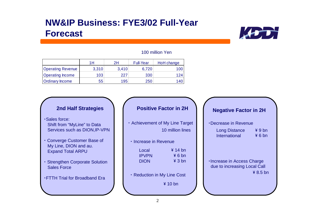## **NW&IP Business: FYE3/02 Full-Year Forecast**



#### 100 million Yen

|                          | 1Н    | 2H    | <b>Full-Year</b> | HoH change |
|--------------------------|-------|-------|------------------|------------|
| <b>Operating Revenue</b> | 3,310 | 3,410 | 6,720            | 00 I       |
| <b>Operating Income</b>  | 103   | 227   | 330              | 124 I      |
| <b>Ordinary Income</b>   | 55    | 195   | 250              | 140        |

- ・Sales force: Shift from "MyLine" to Data Services such as DION,IP-VPN
- **Converge Customer Base of**  My Line, DION and au. Expand Total ARPU
- **Strengthen Corporate Solution** Sales Force
- ・FTTH Trial for Broadband Era

### **2nd Half Strategies Positive Factor in 2H Negative Factor in 2H**

- ・ Achievement of My Line Target 10 million lines
	- ・ Increase in Revenue

| Local        | $\frac{4}{14}$ bn |
|--------------|-------------------|
| <b>IPVPN</b> | ¥ 6 bn            |
| <b>DION</b>  | ¥ 3 bn            |

・ Reduction in My Line Cost

\ 10 bn

#### ・Decrease in Revenue

| <b>Long Distance</b> | ¥9 <sub>bn</sub> |
|----------------------|------------------|
| International        | 46bn             |

・Increase in Access Charge due to increasing Local Call \ 8.5 bn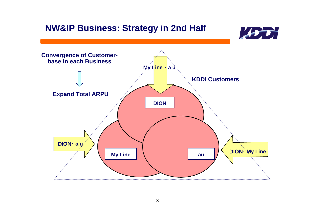## **NW&IP Business: Strategy in 2nd Half**



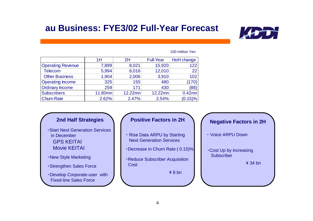## **au Business: FYE3/02 Full-Year Forecast**



#### 100 million Yen

|                          | 1H      | 2H      | <b>Full-Year</b> | HoH change |
|--------------------------|---------|---------|------------------|------------|
| <b>Operating Revenue</b> | 7,899   | 8,021   | 15,920           | 122        |
| <b>Telecom</b>           | 5,994   | 6,016   | 12,010           | 22         |
| <b>Other Business</b>    | 1,904   | 2,006   | 3,910            | 102        |
| <b>Operating Income</b>  | 325     | 155     | 480              | (170)      |
| <b>Ordinary Income</b>   | 259     | 171     | 430              | (88)       |
| <b>Subscribers</b>       | 11.80mn | 12.22mn | 12.22mn          | $0.42$ mn  |
| <b>Churn Rate</b>        | 2.62%   | 2.47%   | 2.54%            | (0.15)%    |

- ・Start Next Generation Services in DecemberGPS KEITAIMovie KEITAI
- ・New Style Marketing
- ・Strengthen Sales Force
- ・Develop Corporate-user with Fixed-line Sales Force

- ・ Rise Data ARPU by Starting Next Generation Services
- ・Decrease in Churn Rate ( 0.15)%
- ・Reduce Subscriber Acquisition Cost

\ 8 bn

**Negative Factors in 2H 2nd Half Strategies Positive Factors in 2H**

・Cost Up by increasing **Subscriber** 

\ 34 bn

<sup>・</sup> Voice ARPU Down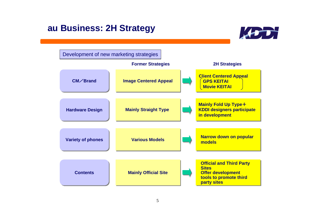# **au Business: 2H Strategy**



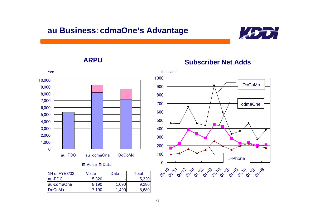### **au Business**:**cdmaOne's Advantage**



**ARPU**



### Voice Data

| 1H of FYE3/02 | Voice | Data  | Total |
|---------------|-------|-------|-------|
| lau-PDC       | 5,320 |       | 5,320 |
| lau-cdmaOne   | 8,190 | 1,090 | 9,28  |
| DoCoMo        | .190  |       |       |

### **Subscriber Net Adds**

0100200300400500600700800900100061/00 01/01/01 01/02 01/04 1/05 01/06 1/06 01/09 DoCoMocdmaOne J-Phone

thousand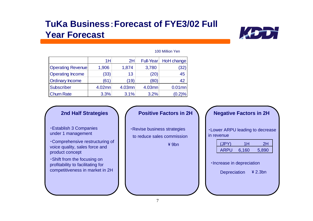# **TuKa Business**:**Forecast of FYE3/02 Full Year Forecast**



|                          | 1H     | 2H     | Full-Year | HoH change |
|--------------------------|--------|--------|-----------|------------|
| <b>Operating Revenue</b> | 1,906  | 1,874  | 3,780     | (32)       |
| <b>Operating Income</b>  | (33)   | 13     | (20)      | 45         |
| <b>Ordinary Income</b>   | (61)   | (19)   | (80)      | 42         |
| <b>Subscriber</b>        | 4.02mn | 4.03mn | 4.03mn    | $0.01$ mn  |
| <b>Churn Rate</b>        | 3.3%   | 3.1%   | 3.2%      | (0.2)%     |

#### 100 Million Yen

・Establish 3 Companies under 1 management

・Comprehensive restructuring of voice quality, sales force and product concept

・Shift from the focusing on profitability to facilitating for competitiveness in market in 2H

・Revise business strategies to reduce sales commission

 $\angle$  9bn

### 2nd Half Strategies **A C** Positive Factors in 2H **A Negative Factors in 2H**

・Lower ARPU leading to decrease in revenue

| (JPY)       | 1Н    | 2Η    |
|-------------|-------|-------|
| <b>ARPU</b> | 6,160 | 5,890 |

・Increase in depreciation

Depreciation  $\frac{4}{2}$  2.3bn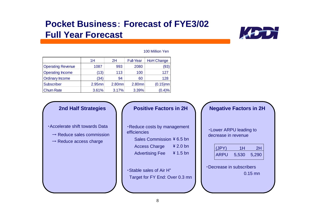# **Pocket Business**: **Forecast of FYE3/02Full Year Forecast**



#### 100 Million Yen

|                          | 1H        | 2H                | <b>Full-Year</b> | <b>HoH Change</b> |
|--------------------------|-----------|-------------------|------------------|-------------------|
| <b>Operating Revenue</b> | 1087      | 993               | 2080             | (93)              |
| <b>Operating Income</b>  | (13)      | 113               | 100              | 127               |
| <b>Ordinary Income</b>   | (34)      | 94                | 60               | 128               |
| Subscriber               | $2.95$ mn | 2.80 <sub>m</sub> | 2.80mn           | $(0.15)$ mn       |
| <b>Churn Rate</b>        | 3.61%     | 3.17%             | 3.39%            | (0.4)%            |

#### ・Accelerate shift towards Data

- $\rightarrow$  Reduce sales commission
- $\rightarrow$  Reduce access charge

### 2nd Half Strategies **1 / Positive Factors in 2H 1 / Negative Factors in 2H**

・Reduce costs by management efficiencies

Sales Commission \ 6.5 bn

Access Charge  $\frac{2}{2}$  2.0 bn

Advertising Fee  $\frac{4}{1.5}$  bn

・Stable sales of Air H"Target for FY End: Over 0.3 mn

| <b>.</b> Lower ARPU leading to |  |
|--------------------------------|--|
| decrease in revenue            |  |
|                                |  |

| $\vert$ (JPY) | 1Н    | 2Η    |
|---------------|-------|-------|
| <b>ARPU</b>   | 5,530 | 5,290 |

| Decrease in subscribers |           |
|-------------------------|-----------|
|                         | $0.15$ mn |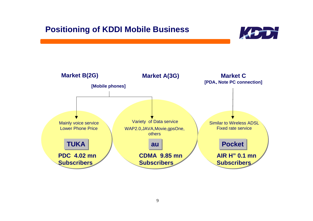### **Positioning of KDDI Mobile Business**



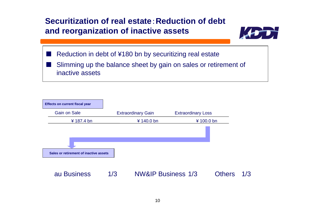### **Securitization of real estate**:**Reduction of debt and reorganization of inactive assets**



- Reduction in debt of ¥180 bn by securitizing real estate
- Slimming up the balance sheet by gain on sales or retirement of inactive assets

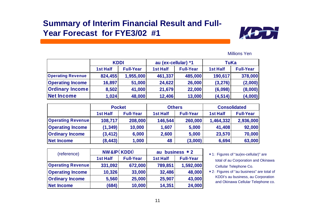### **Summary of Interim Financial Result and Full-Year Forecast for FYE3/02 #1**



|                          | <b>KDDI</b> |                  | au (ex-cellular) *1 |                  | TuKa            |                  |  |
|--------------------------|-------------|------------------|---------------------|------------------|-----------------|------------------|--|
|                          | 1st Half    | <b>Full-Year</b> | <b>1st Half</b>     | <b>Full-Year</b> | <b>1st Half</b> | <b>Full-Year</b> |  |
| <b>Operating Revenue</b> | 824,455     | 1,955,000        | 461,337             | 485,000          | 190,617         | 378,000          |  |
| <b>Operating Income</b>  | 16,897      | 51,000           | 24,622              | 26,000           | (3,276)         | (2,000)          |  |
| <b>Ordinary Income</b>   | 8,502       | 41,000           | 21,679              | 22,000           | (6,098)         | (8,000)          |  |
| Net Income               | 1,024       | 48,000           | 12,406              | 13,000           | (4, 514)        | (4,000)          |  |

|                          | <b>Pocket</b> |                  | <b>Others</b>   |                  | <b>Consolidated</b> |                  |  |
|--------------------------|---------------|------------------|-----------------|------------------|---------------------|------------------|--|
|                          | 1st Half      | <b>Full-Year</b> | <b>1st Half</b> | <b>Full-Year</b> | <b>1st Half</b>     | <b>Full-Year</b> |  |
| <b>Operating Revenue</b> | 108,717       | 208,000          | 146,544         | 260,000          | 1,464,332           | 2,936,000        |  |
| <b>Operating Income</b>  | (1, 349)      | 10,000           | 1,607           | 5,000            | 41,408              | 92,000           |  |
| <b>Ordinary Income</b>   | (3, 412)      | 6,000            | 2,600           | 5,000            | 23,570              | 70,000           |  |
| <b>Net Income</b>        | (8, 443)      | 1,000            | 48              | (3,000)          | 6,694               | 63,000           |  |

| (reference)              | <b>NW&amp;IP(KDDI)</b> |                  | au business * 2 |                  |  |
|--------------------------|------------------------|------------------|-----------------|------------------|--|
|                          | <b>1st Half</b>        | <b>Full-Year</b> | <b>1st Half</b> | <b>Full-Year</b> |  |
| <b>Operating Revenue</b> | 331,092                | 672,000          | 789,851         | 1,592,000        |  |
| <b>Operating Income</b>  | 10,326                 | 33,000           | 32,486          | 48,000           |  |
| <b>Ordinary Income</b>   | 5,560                  | 25,000           | 25,907          | 43,000           |  |
| Net Income               | (684)                  | 10,000           | 14,351          | 24,000           |  |

- \*1: Figures of "au(ex-cellular)" are total of au Corporation and Okinawa Cellular Telephone Co.
- \* 2: Figures of "au business" are total of KDDI's au business, au Corporation and Okinawa Cellular Telephone co.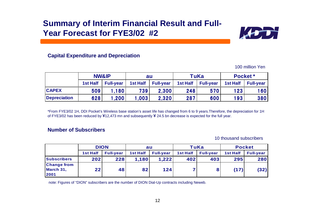### **Summary of Interim Financial Result and Full-Year Forecast for FYE3/02 #2**



### **Capital Expenditure and Depreciation**

100 million Yen

|                     | <b>NW&amp;IP</b> |                  | au              |                  | TuKa            |                  | Pocket*         |                  |
|---------------------|------------------|------------------|-----------------|------------------|-----------------|------------------|-----------------|------------------|
|                     | <b>1st Half</b>  | <b>Full-year</b> | <b>1st Half</b> | <b>Full-year</b> | <b>1st Half</b> | <b>Full-year</b> | <b>1st Half</b> | <b>Full-year</b> |
| <b>CAPEX</b>        | 509              | .180             | 7391            | 2,300            | 248             | 570              | 123             | 160              |
| <b>Depreciation</b> | 628              | .200             | .003            | 2,320            | 287             | 600              | 193             | 380              |

\*From FYE3/02 1H, DDI Pocket's Wireless base station's asset life has changed from 6 to 9 years.Therefore, the depreciation for 1H of FYE3/02 has been reduced by  $\frac{1}{2}12,473$  mn and subsequently  $\frac{1}{2}24.5$  bn decrease is expected for the full year.

#### **Number of Subscribers**

10 thousand subscribers

|                                         | <b>DION</b>     |                  | au              |                  | <b>TuKa</b>     |                  | <b>Pocket</b> |                  |
|-----------------------------------------|-----------------|------------------|-----------------|------------------|-----------------|------------------|---------------|------------------|
|                                         | <b>1st Half</b> | <b>Full-year</b> | <b>1st Half</b> | <b>Full-year</b> | <b>1st Half</b> | <b>Full-year</b> | 1st Half      | <b>Full-year</b> |
| Subscribers                             | 202             | 228              | 1,180           | 1,222            | 402             | 403              | 295           | 280              |
| <b>Change from</b><br>March 31,<br>2001 | 22              | 48               | 82              | 124              |                 | 8                | (17)          | (32)             |

note: Figures of "DION" subscribers are the number of DION Dial-Up contracts including Neweb.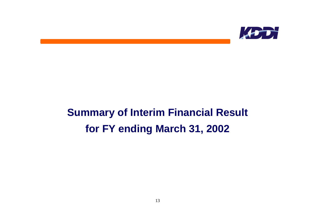

# **Summary of Interim Financial Result for FY ending March 31, 2002**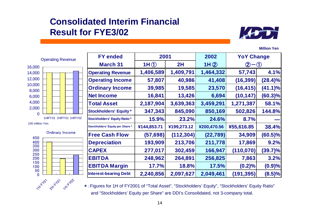# **Consolidated Interim Financial Result for FYE3/02**



**Million Yen**



100 million Yen



| <b>FY ended</b>                    | 2001        |             | 2002        | <b>YoY Change</b> |            |
|------------------------------------|-------------|-------------|-------------|-------------------|------------|
| <b>March 31</b>                    | 1H (1)      | 2H          | 1H(2)       | $\left( 2\right)$ |            |
| <b>Operating Revenue</b>           | 1,406,589   | 1,409,791   | 1,464,332   | 57,743            | 4.1%       |
| <b>Operating Income</b>            | 57,807      | 40,986      | 41,408      | (16, 399)         | $(28.4)\%$ |
| <b>Ordinary Income</b>             | 39,985      | 19,585      | 23,570      | (16, 415)         | $(41.1)\%$ |
| <b>Net Income</b>                  | 16,841      | 13,426      | 6,694       | (10, 147)         | $(60.3)\%$ |
| <b>Total Asset</b>                 | 2,187,904   | 3,639,363   | 3,459,291   | 1,271,387         | 58.1%      |
| <b>Stockholders' Equity*</b>       | 347,343     | 845,090     | 850,169     | 502,826           | 144.8%     |
| <b>Stockholders' Equity Ratio*</b> | 15.9%       | 23.2%       | 24.6%       | 8.7%              |            |
| Stockholders' Equity per Share *   | ¥144,853.71 | ¥199,273.12 | ¥200,470.56 | ¥55,616.85        | 38.4%      |
| <b>Free Cash Flow</b>              | (57, 698)   | (112, 304)  | (22, 789)   | 34,909            | $(60.5)\%$ |
| <b>Depreciation</b>                | 193,909     | 213,706     | 211,778     | 17,869            | 9.2%       |
| <b>CAPEX</b>                       | 277,017     | 302,459     | 166,947     | (110, 070)        | $(39.7)\%$ |
| <b>EBITDA</b>                      | 248,962     | 264,891     | 256,825     | 7,863             | 3.2%       |
| <b>EBITDA Margin</b>               | 17.7%       | 18.8%       | 17.5%       | (0.2)%            | (0.9)%     |
| <b>Interest-bearing Debt</b>       | 2,240,856   | 2,097,627   | 2,049,461   | (191, 395)        | (8.5)%     |

\*:Figures for 1H of FY2001 of "Total Asset", "Stockholders' Equity", "Stockholders' Equity Ratio" and "Stockholders' Equity per Share" are DDI's Consolidated, not 3-company total.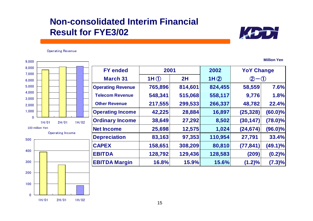## **Non-consolidated Interim Financial Result for FYE3/02**



Operating Revenue

Operating Income 200300400500100 million Yen**FY ended 2001 2002 YoY Change March 31 1H** ① **2H 1H** ② ②-① **Operating Revenue 765,896 814,601 824,455 58,559 7.6% Telecom Revenue 548,341 515,068 558,117 9,776 1.8% Other Revenue 217,555 299,533 266,337 48,782 22.4% Operating Income 42,225 28,884 16,897 (25,328) (60.0)% Ordinary Income 38,649 27,292 8,502 (30,147) (78.0)% Net Income 25,698 12,575 1,024 (24,674) (96.0)% Depreciation 83,163 97,353 110,954 27,791 33.4% CAPEX 158,651 308,209 80,810 (77,841) (49.1)% EBITDA 128,792 129,436 128,583 (209) (0.2)% EBITDA Margin 16.8% 15.9% 15.6% (1.2)% (7.3)%** 01,000 2,000 3,000 4,000 5,000 6,000 7,000 8,000 9,000 1H/012H/01 1H/02

2H/01 1H/02

0

1H/01

100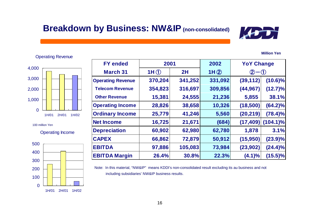# **Breakdown by Business: NW&IP (non-consolidated)**

3,000 4,000

Operating Revenue

100 million Yen

 $\Omega$ 

1,000

2,000

Operating Income

1H/01 2H/01 1H/02



| <b>FY ended</b>          | 2001    |         | 2002    | <b>YoY Change</b>        |             |
|--------------------------|---------|---------|---------|--------------------------|-------------|
| <b>March 31</b>          | 1H()    | 2H      | 1H(2)   | $\circled{2}$<br>$-$ (1) |             |
| <b>Operating Revenue</b> | 370,204 | 341,252 | 331,092 | (39, 112)                | $(10.6)\%$  |
| <b>Telecom Revenue</b>   | 354,823 | 316,697 | 309,856 | (44, 967)                | $(12.7)\%$  |
| <b>Other Revenue</b>     | 15,381  | 24,555  | 21,236  | 5,855                    | 38.1%       |
| <b>Operating Income</b>  | 28,826  | 38,658  | 10,326  | (18,500)                 | $(64.2)\%$  |
| <b>Ordinary Income</b>   | 25,779  | 41,246  | 5,560   | (20, 219)                | $(78.4)\%$  |
| <b>Net Income</b>        | 16,725  | 21,671  | (684)   | (17, 409)                | $(104.1)\%$ |
| <b>Depreciation</b>      | 60,902  | 62,980  | 62,780  | 1,878                    | 3.1%        |
| <b>CAPEX</b>             | 66,862  | 72,879  | 50,912  | (15,950)                 | (23.9)%     |
| <b>EBITDA</b>            | 97,886  | 105,083 | 73,984  | (23, 902)                | $(24.4)\%$  |
| <b>EBITDA Margin</b>     | 26.4%   | 30.8%   | 22.3%   | (4.1)%                   | $(15.5)\%$  |

Note: In this material, "NW&IP" means KDDI's non-consolidated result excluding its au business and not including subsidiaries' NW&IP business results.

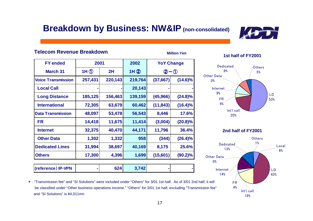# **Breakdown by Business: NW&IP (non-consolidated)**

**Million Yen**



### **Telecom Revenue Breakdown**

| <b>FY</b> ended           | 2001              |         | 2002    | <b>YoY Change</b> |            |
|---------------------------|-------------------|---------|---------|-------------------|------------|
| <b>March 31</b>           | $1H$ <sup>①</sup> | 2H      | 1H(2)   | $2 - 0$           |            |
| <b>Voice Transmission</b> | 257,431           | 220,143 | 219,764 | (37, 667)         | $(14.6)\%$ |
| <b>Local Call</b>         |                   |         | 20,143  |                   |            |
| <b>Long Distance</b>      | 185,125           | 156,463 | 139,159 | (45, 966)         | $(24.8)\%$ |
| <b>International</b>      | 72,305            | 63,679  | 60,462  | (11, 843)         | $(16.4)\%$ |
| <b>Data Transmission</b>  | 48,097            | 53,478  | 56,543  | 8,446             | 17.6%      |
| <b>FR</b>                 | 14,418            | 11,675  | 11,414  | (3,004)           | $(20.8)\%$ |
| <b>Internet</b>           | 32,375            | 40,470  | 44,171  | 11,796            | 36.4%      |
| <b>Other Data</b>         | 1,302             | 1,332   | 958     | (344)             | (26.4)%    |
| <b>Dedicated Lines</b>    | 31,994            | 38,697  | 40,169  | 8,175             | 25.6%      |
| <b>Others</b>             | 17,300            | 4,396   | 1,699   | (15,601)          | (90.2)%    |
| (reference) IP-VPN        |                   | 624     | 3,742   |                   |            |

#### **1st half of FY2001**



**2nd half of FY2001**



\*: "Transmission fee" and "SI Solutions" were included under "Others" for 3/01 1st half. As of 3/01 2nd half, it will be classified under "Other business operations income." "Others" for 3/01 1st half, excluding "Transmission fee" and "SI Solutions" is ¥4,011mn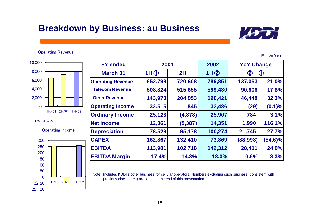# **Breakdown by Business: au Business**

#### Operating Revenue



100 million Yen

#### Operating Income



| <b>FY ended</b>          | 2001    |          | 2002    | <b>YoY Change</b>   |            |
|--------------------------|---------|----------|---------|---------------------|------------|
| <b>March 31</b>          | 1H()    | 2H       | 1H(2)   | $\bf(2)$<br>$-$ (1) |            |
| <b>Operating Revenue</b> | 652,798 | 720,608  | 789,851 | 137,053             | 21.0%      |
| <b>Telecom Revenue</b>   | 508,824 | 515,655  | 599,430 | 90,606              | 17.8%      |
| <b>Other Revenue</b>     | 143,973 | 204,953  | 190,421 | 46,448              | 32.3%      |
| <b>Operating Income</b>  | 32,515  | 845      | 32,486  | (29)                | (0.1)%     |
| <b>Ordinary Income</b>   | 25,123  | (4,878)  | 25,907  | 784                 | 3.1%       |
| <b>Net Income</b>        | 12,361  | (5, 387) | 14,351  | 1,990               | 116.1%     |
| <b>Depreciation</b>      | 78,529  | 95,178   | 100,274 | 21,745              | 27.7%      |
| <b>CAPEX</b>             | 162,867 | 132,410  | 73,869  | (88,998)            | $(54.6)\%$ |
| <b>EBITDA</b>            | 113,901 | 102,718  | 142,312 | 28,411              | 24.9%      |
| <b>EBITDA Margin</b>     | 17.4%   | 14.3%    | 18.0%   | 0.6%                | 3.3%       |

Note: Includes KDDI's other business for cellular operators. Numbers excluding such business (consistent with previous disclosures) are found at the end of this presentation

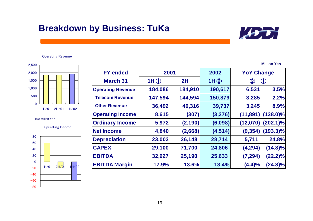# **Breakdown by Business: TuKa**



Operating Revenue



100 million Yen

Operating Income



| <b>FY ended</b>          | 2001    |          | 2002     | <b>YoY Change</b> |             |
|--------------------------|---------|----------|----------|-------------------|-------------|
| <b>March 31</b>          | 1H()    | 2H       | 1H(2)    | $(2) - (1)$       |             |
| <b>Operating Revenue</b> | 184,086 | 184,910  | 190,617  | 6,531             | 3.5%        |
| <b>Telecom Revenue</b>   | 147,594 | 144,594  | 150,879  | 3,285             | 2.2%        |
| <b>Other Revenue</b>     | 36,492  | 40,316   | 39,737   | 3,245             | 8.9%        |
| <b>Operating Income</b>  | 8,615   | (307)    | (3,276)  | (11, 891)         | $(138.0)\%$ |
| <b>Ordinary Income</b>   | 5,972   | (2, 190) | (6,098)  | (12,070)          | $(202.1)\%$ |
| <b>Net Income</b>        | 4,840   | (2,668)  | (4, 514) | (9, 354)          | $(193.3)\%$ |
| <b>Depreciation</b>      | 23,003  | 26,148   | 28,714   | 5,711             | 24.8%       |
| <b>CAPEX</b>             | 29,100  | 71,700   | 24,806   | (4, 294)          | $(14.8)\%$  |
| <b>EBITDA</b>            | 32,927  | 25,190   | 25,633   | (7, 294)          | $(22.2)\%$  |
| <b>EBITDA Margin</b>     | 17.9%   | 13.6%    | 13.4%    | (4.4)%            | $(24.8)\%$  |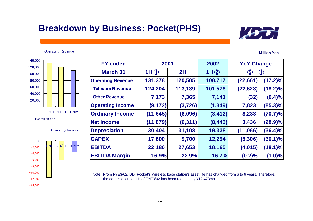# **Breakdown by Business: Pocket(PHS)**

#### Operating Revenue



Operating Income



| <b>FY ended</b>          | 2001           |          | 2002     | <b>YoY Change</b> |            |
|--------------------------|----------------|----------|----------|-------------------|------------|
| <b>March 31</b>          | 1H $\circledD$ | 2H       | 1H(2)    | $\bf{Q} \cdot$    |            |
| <b>Operating Revenue</b> | 131,378        | 120,505  | 108,717  | (22, 661)         | $(17.2)\%$ |
| <b>Telecom Revenue</b>   | 124,204        | 113,139  | 101,576  | (22, 628)         | $(18.2)\%$ |
| <b>Other Revenue</b>     | 7,173          | 7,365    | 7,141    | (32)              | (0.4)%     |
| <b>Operating Income</b>  | (9, 172)       | (3, 726) | (1, 349) | 7,823             | $(85.3)\%$ |
| <b>Ordinary Income</b>   | (11, 645)      | (6,096)  | (3, 412) | 8,233             | $(70.7)\%$ |
| <b>Net Income</b>        | (11, 879)      | (6, 311) | (8, 443) | 3,436             | (28.9)%    |
| <b>Depreciation</b>      | 30,404         | 31,108   | 19,338   | (11,066)          | $(36.4)\%$ |
| <b>CAPEX</b>             | 17,600         | 9,700    | 12,294   | (5,306)           | $(30.1)\%$ |
| <b>EBITDA</b>            | 22,180         | 27,653   | 18,165   | (4,015)           | $(18.1)\%$ |
| <b>EBITDA Margin</b>     | 16.9%          | 22.9%    | 16.7%    | (0.2)%            | (1.0)%     |

Note: From FYE3/02, DDI Pocket's Wireless base station's asset life has changed from 6 to 9 years. Therefore, the depreciation for 1H of FYE3/02 has been reduced by ¥12,473mn

#### **Million Yen**

20

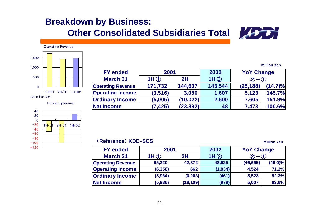# **Breakdown by Business: Other Consolidated Subsidiaries Total**



Operating Revenue



Operating Income



| <b>FY ended</b>          | 2001     |           | 2002    | <b>YoY Change</b> |            |
|--------------------------|----------|-----------|---------|-------------------|------------|
| <b>March 31</b>          | 1H(1)    | 2H        | 1H(3)   |                   |            |
| <b>Operating Revenue</b> | 171,732  | 144,637   | 146,544 | (25, 188)         | $(14.7)\%$ |
| <b>Operating Income</b>  | (3,516)  | 3,050     | 1,607   | 5,123             | 145.7%     |
| <b>Ordinary Income</b>   | (5,005)  | (10, 022) | 2,600   | 7,605             | 151.9%     |
| <b>Net Income</b>        | (7, 425) | (23, 892) | 48      | 7,473             | 100.6%     |

### (**Reference**) **KDD**‐**SCS**

**Million Yen**

| <b>FY ended</b>          | 2001     |           | 2002    | <b>YoY Change</b> |            |
|--------------------------|----------|-----------|---------|-------------------|------------|
| <b>March 31</b>          | 1H(f)    | 2H        | 1H(3)   |                   |            |
| <b>Operating Revenue</b> | 95,320   | 42,372    | 48,625  | (46, 695)         | $(49.0)\%$ |
| <b>Operating Income</b>  | (6, 358) | 662       | (1,834) | 4,524             | 71.2%      |
| <b>Ordinary Income</b>   | (5,984)  | (6, 203)  | (461)   | 5,523             | 92.3%      |
| <b>Net Income</b>        | (5,986)  | (18, 109) | (979)   | 5,007             | 83.6%      |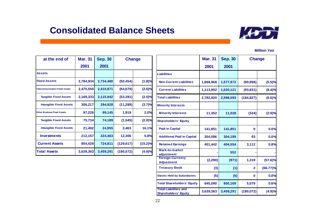### **Consolidated Balance Sheets**



| at the end of                         | <b>Mar. 31</b> | <b>Sep. 30</b> | <b>Change</b> |            |
|---------------------------------------|----------------|----------------|---------------|------------|
|                                       | 2001           | 2001           |               |            |
| <b>Assets</b>                         |                |                |               |            |
| <b>Fixed Assets</b>                   | 2,784,934      | 2,734,480      | (50, 454)     | (1.8)%     |
| <b>Telecommunication Fixed Assets</b> | 2,475,550      | 2,410,871      | (64, 679)     | $(2.6)\%$  |
| <b>Tangible Fixed Assets</b>          | 2,169,333      | 2,115,942      | (53, 391)     | (2.5)%     |
| <b>Intangible Fixed Assets</b>        | 306,217        | 294,928        | (11, 289)     | (3.7)%     |
| <b>Other Business Fixed Assets</b>    | 97,226         | 99,145         | 1,919         | 2.0%       |
| <b>Tangible Fixed Assets</b>          | 75,734         | 74,189         | (1, 545)      | $(2.0)\%$  |
| <b>Intangible Fixed Assets</b>        | 21,492         | 24,955         | 3,463         | 16.1%      |
| <b>Investments</b>                    | 212,157        | 224,463        | 12,306        | 5.8%       |
| <b>Current Assets</b>                 | 854,428        | 724,811        | (129, 617)    | $(15.2)\%$ |
| <b>Total Assets</b>                   | 3,639,363      | 3,459,291      | (180, 072)    | (4.9)%     |

|                                                             | <b>Mar. 31</b> | <b>Sep. 30</b> | <b>Change</b>  |            |
|-------------------------------------------------------------|----------------|----------------|----------------|------------|
|                                                             | 2001           | 2001           |                |            |
| <b>Liabilities</b>                                          |                |                |                |            |
| <b>Non-Current Liabilities</b>                              | 1,668,968      | 1,577,972      | (90, 996)      | (5.5)%     |
| <b>Current Liabilities</b>                                  | 1,113,952      | 1,020,121      | (93, 831)      | $(8.4)\%$  |
| <b>Total Liabilities</b>                                    | 2,782,920      | 2,598,093      | (184, 827)     | (6.6)%     |
| <b>Minority Interests</b>                                   |                |                |                |            |
| <b>Minority Interests</b>                                   | 11,352         | 11,028         | (324)          | (2.9)%     |
| <b>Shareholders' Equity</b>                                 |                |                |                |            |
| <b>Paid in Capital</b>                                      | 141,851        | 141,851        | 0              | 0.0%       |
| <b>Additional Paid in Captial</b>                           | 304,096        | 304,189        | 93             | 0.0%       |
| <b>Retained Earnings</b>                                    | 401,442        | 404,554        | 3,112          | 0.8%       |
| Mark-to-market<br>adjustment                                |                | 552            |                |            |
| <b>Foreign Currency</b><br><b>Adjustment</b>                | (2, 290)       | (971)          | 1,319          | $(57.6)\%$ |
| <b>Treasury Stock</b>                                       | (3)            | (1)            | $\overline{2}$ | (66.77)%   |
| <b>Stocks Held by Subsidiaries</b>                          | (5)            | (5)            | 0              | 0.0%       |
| <b>Total Shareholders' Equity</b>                           | 845,090        | 850,169        | 5,079          | 0.6%       |
| <b>Total Liabilities and</b><br><b>Shareholders' Equity</b> | 3,639,363      | 3,459,291      | (180, 072)     | (4.9)%     |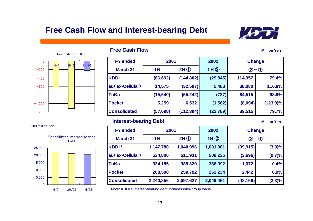### **Free Cash Flow and Interest-bearing Debt**



**Million Yen**



### **Free Cash Flow**

| <b>FY</b> ended     | 2001      |            | 2002      | <b>Change</b>               |             |
|---------------------|-----------|------------|-----------|-----------------------------|-------------|
| <b>March 31</b>     | 1H        | $2H$ ①     | 1H(2)     | $\mathfrak{D}-\mathfrak{D}$ |             |
| <b>KDDI</b>         | (86, 692) | (144, 802) | (29, 845) | 114,957                     | 79.4%       |
| au(ex-Cellular)     | 14,575    | (32, 597)  | 5,483     | 38,080                      | 116.8%      |
| <b>TuKa</b>         | (15, 640) | (65, 242)  | (727)     | 64,515                      | 98.9%       |
| <b>Pocket</b>       | 5,259     | 6,532      | (1, 562)  | (8,094)                     | $(123.9)\%$ |
| <b>Consolidated</b> | (57, 698) | (112, 304) | (22, 789) | 89,515                      | 79.7%       |

#### **Interest-bearing Debt Million Yen**

| <b>FY ended</b>     | 2001      |           | 2002      | <b>Change</b> |           |
|---------------------|-----------|-----------|-----------|---------------|-----------|
| <b>March 31</b>     | 1H        | $2H$ ①    | 1H(2)     | $(2 - 0)$     |           |
| KDDI <sup>*</sup>   | 1,147,780 | 1,040,996 | 1,001,081 | (39, 915)     | (3.8)%    |
| au (ex-Cellular)    | 534,806   | 511,931   | 508,235   | (3,696)       | (0.7)%    |
| <b>TuKa</b>         | 334,185   | 385,320   | 386,992   | 1,672         | 0.4%      |
| <b>Pocket</b>       | 268,500   | 259,792   | 262,234   | 2,442         | 0.9%      |
| <b>Consolidated</b> | 2,240,856 | 2,097,627 | 2,049,461 | (48, 166)     | $(2.3)\%$ |

2H/01 1H/02 Note: KDDI's interest-bearing debt includes inter-group loans



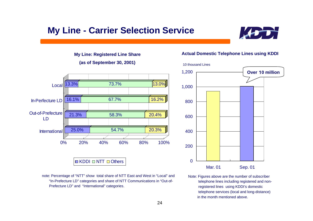# **My Line - Carrier Selection Service**



#### **My Line: Registered Line Share**

#### **(as of September 30, 2001)**



 note: Percentage of "NTT" show total share of NTT East and West in "Local" and "In-Prefecture LD" categories and share of NTT Communications in "Out-of- Prefecture LD" and "International" categories.

#### **Actual Domestic Telephone Lines using KDDI**



Note: Figures above are the number of subscriber telephone lines including registered and non registered lines using KDDI's domestic telephone services (local and long-distance) in the month mentioned above.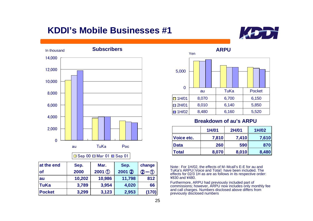# **KDDI's Mobile Businesses #1**





#### $\Box$  Sep 00  $\Box$  Mar 01  $\Box$  Sep 01

| at the end    | Sep.   | Mar.     | Sep.    | change            |
|---------------|--------|----------|---------|-------------------|
| <b>of</b>     | 2000   | $2001$ ① | 2001(2) | 2<br>$^\circledR$ |
| au            | 10,202 | 10,986   | 11,798  | 812               |
| ∣TuKa         | 3,789  | 3,954    | 4,020   | 66                |
| <b>Pocket</b> | 3,299  | 3,123    | 2,953   | (170)             |



### **Breakdown of au's ARPU**

|              | 1H/01 | <b>2H/01</b> | 1H/02 |
|--------------|-------|--------------|-------|
| Voice etc.   | 7,810 | 7,410        | 7,610 |
| <b>Data</b>  | 260   | 590          | 870   |
| <b>Total</b> | 8,070 | 8,010        | 8,480 |

Note: For 1H/02, the effects of M‐Mcall's E-E for au and TuKa's ARPU(Voice and Total) have been included. The effects for 02/3 1H as are as follows in its respective order: ¥830 and ¥480.

Furthermore, ARPU had previously included part of commissions; however, ARPU now includes only monthly fee and call charges. Numbers disclosed above differs from previously disclosed numbers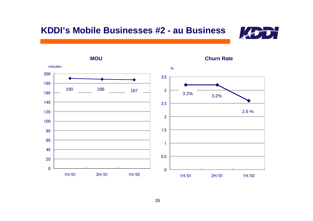



**Churn Rate**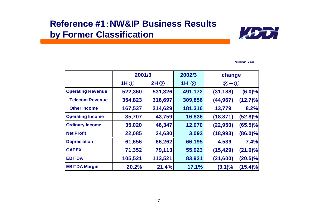## **Reference #1**:**NW&IP Business Resultsby Former Classification**



|                          | 2001/3  |         | 2002/3  | change             |            |
|--------------------------|---------|---------|---------|--------------------|------------|
|                          | 1H()    | 2H(2)   | 1H(2)   | $\bm{\mathcal{Q}}$ | $-0$       |
| <b>Operating Revenue</b> | 522,360 | 531,326 | 491,172 | (31, 188)          | $(6.0)\%$  |
| <b>Telecom Revenue</b>   | 354,823 | 316,697 | 309,856 | (44, 967)          | $(12.7)\%$ |
| <b>Other Income</b>      | 167,537 | 214,629 | 181,316 | 13,779             | 8.2%       |
| <b>Operating Income</b>  | 35,707  | 43,759  | 16,836  | (18, 871)          | $(52.8)\%$ |
| <b>Ordinary Income</b>   | 35,020  | 46,347  | 12,070  | (22, 950)          | $(65.5)\%$ |
| <b>Net Profit</b>        | 22,085  | 24,630  | 3,092   | (18,993)           | $(86.0)\%$ |
| <b>Depreciation</b>      | 61,656  | 66,262  | 66,195  | 4,539              | 7.4%       |
| <b>CAPEX</b>             | 71,352  | 79,113  | 55,923  | (15, 429)          | $(21.6)\%$ |
| <b>EBITDA</b>            | 105,521 | 113,521 | 83,921  | (21, 600)          | $(20.5)\%$ |
| <b>EBITDA Margin</b>     | 20.2%   | 21.4%   | 17.1%   | $(3.1)\%$          | $(15.4)\%$ |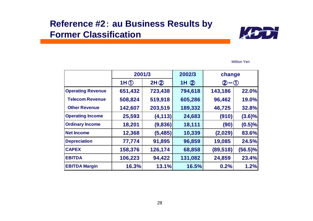### **Reference #2**: **au Business Results by Former Classification**



|                          | 2001/3  |          | 2002/3  | change                       |            |
|--------------------------|---------|----------|---------|------------------------------|------------|
|                          | 1H()    | 2H(2)    | 1H(2)   | $\left( 2\right)$<br>$-$ (1) |            |
| <b>Operating Revenue</b> | 651,432 | 723,438  | 794,618 | 143,186                      | 22.0%      |
| <b>Telecom Revenue</b>   | 508,824 | 519,918  | 605,286 | 96,462                       | 19.0%      |
| <b>Other Revenue</b>     | 142,607 | 203,519  | 189,332 | 46,725                       | 32.8%      |
| <b>Operating Income</b>  | 25,593  | (4, 113) | 24,683  | (910)                        | $(3.6)\%$  |
| <b>Ordinary Income</b>   | 18,201  | (9,836)  | 18,111  | (90)                         | (0.5)%     |
| <b>Net Income</b>        | 12,368  | (5, 485) | 10,339  | (2,029)                      | 83.6%      |
| <b>Depreciation</b>      | 77,774  | 91,895   | 96,859  | 19,085                       | 24.5%      |
| <b>CAPEX</b>             | 158,376 | 126,174  | 68,858  | (89, 518)                    | $(56.5)\%$ |
| <b>EBITDA</b>            | 106,223 | 94,422   | 131,082 | 24,859                       | 23.4%      |
| <b>EBITDA Margin</b>     | 16.3%   | 13.1%    | 16.5%   | 0.2%                         | 1.2%       |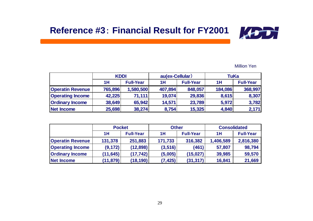

|                         | <b>KDDI</b> |                  | au(ex-Cellular) |                  | TuKa    |                  |
|-------------------------|-------------|------------------|-----------------|------------------|---------|------------------|
|                         | 1H          | <b>Full-Year</b> | 1H              | <b>Full-Year</b> | 1H      | <b>Full-Year</b> |
| <b>Operatin Revenue</b> | 765,896     | 1,580,500        | 407,894         | 848,057          | 184,086 | 368,997          |
| <b>Operating Income</b> | 42,225      | 71,111           | 19,074          | 29,836           | 8,615   | 8,307            |
| <b>Ordinary Income</b>  | 38,649      | 65,942           | 14,571          | 23,789           | 5,972   | 3,782            |
| Net Income              | 25,698      | 38,274           | 8,754           | 15,325           | 4,840   | 2,171            |

|                         | <b>Pocket</b> |                  | <b>Other</b> |                  | <b>Consolidated</b> |                  |
|-------------------------|---------------|------------------|--------------|------------------|---------------------|------------------|
|                         | 1H            | <b>Full-Year</b> | 1H           | <b>Full-Year</b> | 1H                  | <b>Full-Year</b> |
| <b>Operatin Revenue</b> | 131,378       | 251,883          | 171,733      | 316,382          | 1,406,589           | 2,816,380        |
| <b>Operating Income</b> | (9, 172)      | (12,898)         | (3, 516)     | (461)            | 57,807              | 98,794           |
| <b>Ordinary Income</b>  | (11, 645)     | (17, 742)        | (5,005)      | (15, 027)        | 39,985              | 59,570           |
| <b>Net Income</b>       | (11, 879)     | (18,190)         | (7, 425)     | (31, 317)        | 16,841              | 21,669           |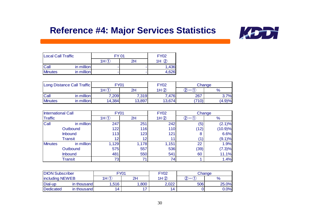# **Reference #4: Major Services Statistics**



| <b>Local Call Traffic</b> |            | <b>EY 01</b> | <b>FY02</b> |       |
|---------------------------|------------|--------------|-------------|-------|
|                           |            | 1H           | 1Η<br>2Η    |       |
| Call                      | in million |              |             | 1,436 |
| <b>Minutes</b>            | in million |              |             | 4,626 |

| Long Distance Call Traffic |            | Y      |        | <b>FY02</b><br>Change |       |        |
|----------------------------|------------|--------|--------|-----------------------|-------|--------|
|                            |            | 1H(f)  | 2H     | 1H(2)                 | ⌒     | 70     |
| Call                       | in million | 7,209  | 7,319  | ,476                  | 267   | 3.7%   |
| <b>Minutes</b>             | in million | 14,384 | 13,897 | 13,674                | (710) | (4.9)% |

| <b>International Call</b><br><b>Traffic</b> |                | <b>FY01</b> |       | <b>FY02</b> |      | Change  |  |
|---------------------------------------------|----------------|-------------|-------|-------------|------|---------|--|
|                                             |                | 2H<br>1H(1) |       | 1H(2)       | ົ    | $\%$    |  |
| Call<br>in million                          |                | 247         | 251   | 242         | (5)  | (2.1)%  |  |
|                                             | Outbound       | 122         | 116   | 110         | (12) | (10.9)% |  |
|                                             | <b>Inbound</b> | 113         | 123   | 121         | 8    | 6.6%    |  |
|                                             | <b>Transit</b> | 12          | 12    |             |      | (9.1)%  |  |
| <b>Minutes</b>                              | in million     | 1,129       | 1,178 | 1,151       | 22   | 1.9%    |  |
|                                             | Outbound       | 575         | 557   | 536         | (39) | (7.3)%  |  |
|                                             | Inbound        | 481         | 550   | 541         | 60   | 11.1%   |  |
|                                             | <b>Transit</b> | 73          | 71    | 74          |      | 1.4%    |  |

| <b>DION Subscriber</b> |             | FY01              |      | <b>FY02</b><br>Change |     |       |
|------------------------|-------------|-------------------|------|-----------------------|-----|-------|
| <b>including NEWEB</b> |             | $\sqrt{4}$<br>1 H | 2H   | 1H(2)                 |     |       |
| Dial-up                | in thousand | ,516              | ,800 | 2,022                 | 506 | 25.0% |
| Dedicated              | in thousand | 14                | . .  | 14                    |     | 0.0%  |